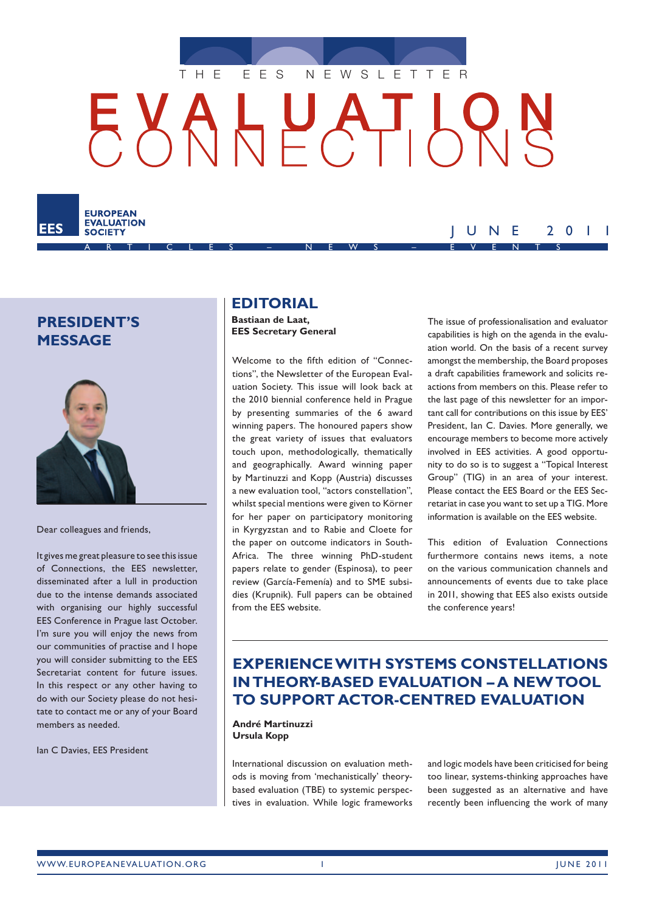<span id="page-0-0"></span>

A R T I C L E S – N E W S – E V E N T S

## **President's message**

EES

**EUROPEAN EVALUATION** 

**SOCIETY** 



Dear colleagues and friends,

It gives me great pleasure to see this issue of Connections, the EES newsletter, disseminated after a lull in production due to the intense demands associated with organising our highly successful EES Conference in Prague last October. I'm sure you will enjoy the news from our communities of practise and I hope you will consider submitting to the EES Secretariat content for future issues. In this respect or any other having to do with our Society please do not hesitate to contact me or any of your Board members as needed.

Ian C Davies, EES President

### **Editorial**

**Bastiaan de Laat, EES Secretary General**

Welcome to the fifth edition of "Connections", the Newsletter of the European Evaluation Society. This issue will look back at the 2010 biennial conference held in Prague by presenting summaries of the 6 award winning papers. The honoured papers show the great variety of issues that evaluators touch upon, methodologically, thematically and geographically. Award winning paper by Martinuzzi and Kopp (Austria) discusses a new evaluation tool, "actors constellation", whilst special mentions were given to Körner for her paper on participatory monitoring in Kyrgyzstan and to Rabie and Cloete for the paper on outcome indicators in South-Africa. The three winning PhD-student papers relate to gender (Espinosa), to peer review (García-Femenía) and to SME subsidies (Krupnik). Full papers can be obtained from the EES website.

The issue of professionalisation and evaluator capabilities is high on the agenda in the evaluation world. On the basis of a recent survey amongst the membership, the Board proposes a draft capabilities framework and solicits reactions from members on this. Please refer to the last page of this newsletter for an important call for contributions on this issue by EES' President, Ian C. Davies. More generally, we encourage members to become more actively involved in EES activities. A good opportunity to do so is to suggest a "Topical Interest Group" (TIG) in an area of your interest. Please contact the EES Board or the EES Secretariat in case you want to set up a TIG. More information is available on the EES website.

J U N E 2 0 1 1

This edition of Evaluation Connections furthermore contains news items, a note on the various communication channels and announcements of events due to take place in 2011, showing that EES also exists outside the conference years!

## **Experience with systems constellations in theory‑based evaluation – a new tool to support actor‑centred evaluation**

**André Martinuzzi Ursula Kopp**

International discussion on evaluation methods is moving from 'mechanistically' theorybased evaluation (TBE) to systemic perspectives in evaluation. While logic frameworks and logic models have been criticised for being too linear, systems-thinking approaches have been suggested as an alternative and have recently been influencing the work of many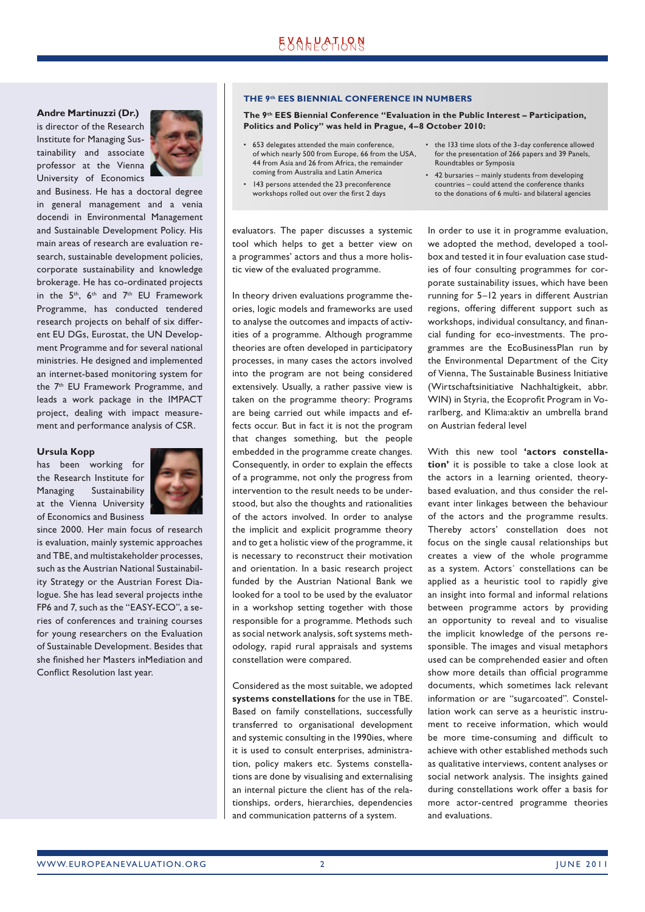### **Andre Martinuzzi (Dr.)**

is director of the Research Institute for Managing Sustainability and associate professor at the Vienna University of Economics



and Business. He has a doctoral degree in general management and a venia docendi in Environmental Management and Sustainable Development Policy. His main areas of research are evaluation research, sustainable development policies, corporate sustainability and knowledge brokerage. He has co-ordinated projects in the  $5<sup>th</sup>$ ,  $6<sup>th</sup>$  and  $7<sup>th</sup>$  EU Framework Programme, has conducted tendered research projects on behalf of six different EU DGs, Eurostat, the UN Development Programme and for several national ministries. He designed and implemented an internet-based monitoring system for the 7th EU Framework Programme, and leads a work package in the IMPACT project, dealing with impact measurement and performance analysis of CSR.

### **Ursula Kopp**

has been working for the Research Institute for Managing Sustainability at the Vienna University of Economics and Business



since 2000. Her main focus of research is evaluation, mainly systemic approaches and TBE, and multistakeholder processes, such as the Austrian National Sustainability Strategy or the Austrian Forest Dialogue. She has lead several projects inthe FP6 and 7, such as the "EASY-ECO", a series of conferences and training courses for young researchers on the Evaluation of Sustainable Development. Besides that she finished her Masters inMediation and Conflict Resolution last year.

### **THE 9th EES BIENNIAL CONFERENCE IN NUMBERS**

**The 9th EES Biennial Conference "Evaluation in the Public Interest – Participation, Politics and Policy" was held in Prague, 4–8 October 2010:**

- 653 delegates attended the main conference, of which nearly 500 from Europe, 66 from the USA, 44 from Asia and 26 from Africa, the remainder coming from Australia and Latin America
- 143 persons attended the 23 preconference workshops rolled out over the first 2 days
- the 133 time slots of the 3-day conference allowed for the presentation of 266 papers and 39 Panels, Roundtables or Symposia
- 42 bursaries mainly students from developing countries – could attend the conference thanks to the donations of 6 multi- and bilateral agencies

evaluators. The paper discusses a systemic tool which helps to get a better view on a programmes' actors and thus a more holistic view of the evaluated programme.

In theory driven evaluations programme theories, logic models and frameworks are used to analyse the outcomes and impacts of activities of a programme. Although programme theories are often developed in participatory processes, in many cases the actors involved into the program are not being considered extensively. Usually, a rather passive view is taken on the programme theory: Programs are being carried out while impacts and effects occur. But in fact it is not the program that changes something, but the people embedded in the programme create changes. Consequently, in order to explain the effects of a programme, not only the progress from intervention to the result needs to be understood, but also the thoughts and rationalities of the actors involved. In order to analyse the implicit and explicit programme theory and to get a holistic view of the programme, it is necessary to reconstruct their motivation and orientation. In a basic research project funded by the Austrian National Bank we looked for a tool to be used by the evaluator in a workshop setting together with those responsible for a programme. Methods such as social network analysis, soft systems methodology, rapid rural appraisals and systems constellation were compared.

Considered as the most suitable, we adopted **systems constellations** for the use in TBE. Based on family constellations, successfully transferred to organisational development and systemic consulting in the 1990ies, where it is used to consult enterprises, administration, policy makers etc. Systems constellations are done by visualising and externalising an internal picture the client has of the relationships, orders, hierarchies, dependencies and communication patterns of a system.

In order to use it in programme evaluation, we adopted the method, developed a toolbox and tested it in four evaluation case studies of four consulting programmes for corporate sustainability issues, which have been running for 5–12 years in different Austrian regions, offering different support such as workshops, individual consultancy, and financial funding for eco-investments. The programmes are the EcoBusinessPlan run by the Environmental Department of the City of Vienna, The Sustainable Business Initiative (Wirtschaftsinitiative Nachhaltigkeit, abbr. WIN) in Styria, the Ecoprofit Program in Vorarlberg, and Klima:aktiv an umbrella brand on Austrian federal level

With this new tool **'actors constella‑ tion'** it is possible to take a close look at the actors in a learning oriented, theorybased evaluation, and thus consider the relevant inter linkages between the behaviour of the actors and the programme results. Thereby actors' constellation does not focus on the single causal relationships but creates a view of the whole programme as a system. Actors´ constellations can be applied as a heuristic tool to rapidly give an insight into formal and informal relations between programme actors by providing an opportunity to reveal and to visualise the implicit knowledge of the persons responsible. The images and visual metaphors used can be comprehended easier and often show more details than official programme documents, which sometimes lack relevant information or are "sugarcoated". Constellation work can serve as a heuristic instrument to receive information, which would be more time-consuming and difficult to achieve with other established methods such as qualitative interviews, content analyses or social network analysis. The insights gained during constellations work offer a basis for more actor-centred programme theories and evaluations.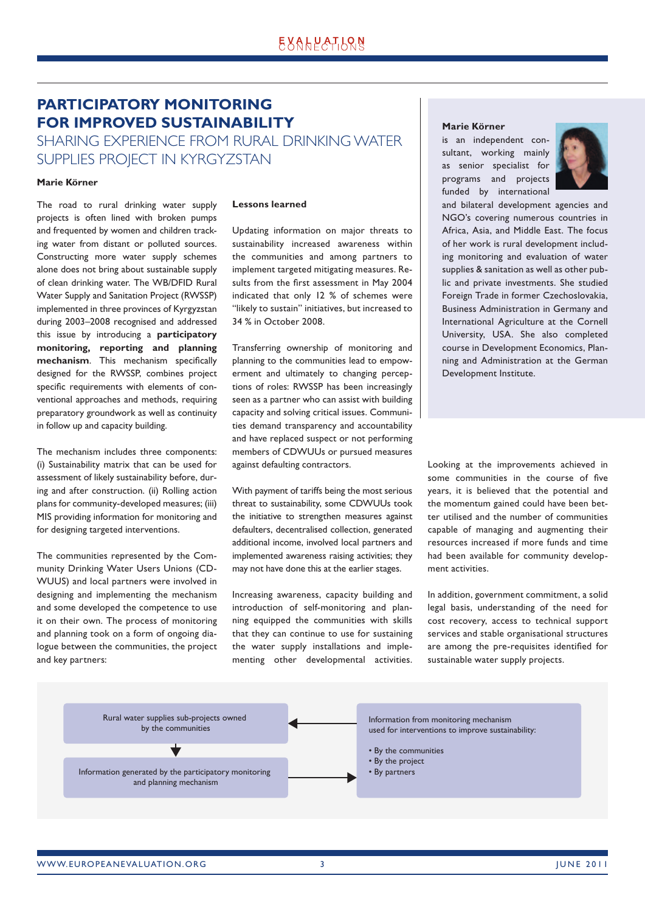## <span id="page-2-0"></span>**Participatory monitoring for improved sustainability**

Sharing experience from rural drinking water supplies project in Kyrgyzstan

### **Marie Körner**

The road to rural drinking water supply projects is often lined with broken pumps and frequented by women and children tracking water from distant or polluted sources. Constructing more water supply schemes alone does not bring about sustainable supply of clean drinking water. The WB/DFID Rural Water Supply and Sanitation Project (RWSSP) implemented in three provinces of Kyrgyzstan during 2003–2008 recognised and addressed this issue by introducing a **participatory monitoring, reporting and planning mechanism**. This mechanism specifically designed for the RWSSP, combines project specific requirements with elements of conventional approaches and methods, requiring preparatory groundwork as well as continuity in follow up and capacity building.

The mechanism includes three components: (i) Sustainability matrix that can be used for assessment of likely sustainability before, during and after construction. (ii) Rolling action plans for community-developed measures; (iii) MIS providing information for monitoring and for designing targeted interventions.

The communities represented by the Community Drinking Water Users Unions (CD-WUUS) and local partners were involved in designing and implementing the mechanism and some developed the competence to use it on their own. The process of monitoring and planning took on a form of ongoing dialogue between the communities, the project and key partners:

### **Lessons learned**

Updating information on major threats to sustainability increased awareness within the communities and among partners to implement targeted mitigating measures. Results from the first assessment in May 2004 indicated that only 12 % of schemes were "likely to sustain" initiatives, but increased to 34 % in October 2008.

Transferring ownership of monitoring and planning to the communities lead to empowerment and ultimately to changing perceptions of roles: RWSSP has been increasingly seen as a partner who can assist with building capacity and solving critical issues. Communities demand transparency and accountability and have replaced suspect or not performing members of CDWUUs or pursued measures against defaulting contractors.

With payment of tariffs being the most serious threat to sustainability, some CDWUUs took the initiative to strengthen measures against defaulters, decentralised collection, generated additional income, involved local partners and implemented awareness raising activities; they may not have done this at the earlier stages.

Increasing awareness, capacity building and introduction of self-monitoring and planning equipped the communities with skills that they can continue to use for sustaining the water supply installations and implementing other developmental activities.

### **Marie Körner**

is an independent consultant, working mainly as senior specialist for programs and projects funded by international



and bilateral development agencies and NGO's covering numerous countries in Africa, Asia, and Middle East. The focus of her work is rural development including monitoring and evaluation of water supplies & sanitation as well as other public and private investments. She studied Foreign Trade in former Czechoslovakia, Business Administration in Germany and International Agriculture at the Cornell University, USA. She also completed course in Development Economics, Planning and Administration at the German Development Institute.

Looking at the improvements achieved in some communities in the course of five years, it is believed that the potential and the momentum gained could have been better utilised and the number of communities capable of managing and augmenting their resources increased if more funds and time had been available for community development activities.

In addition, government commitment, a solid legal basis, understanding of the need for cost recovery, access to technical support services and stable organisational structures are among the pre-requisites identified for sustainable water supply projects.

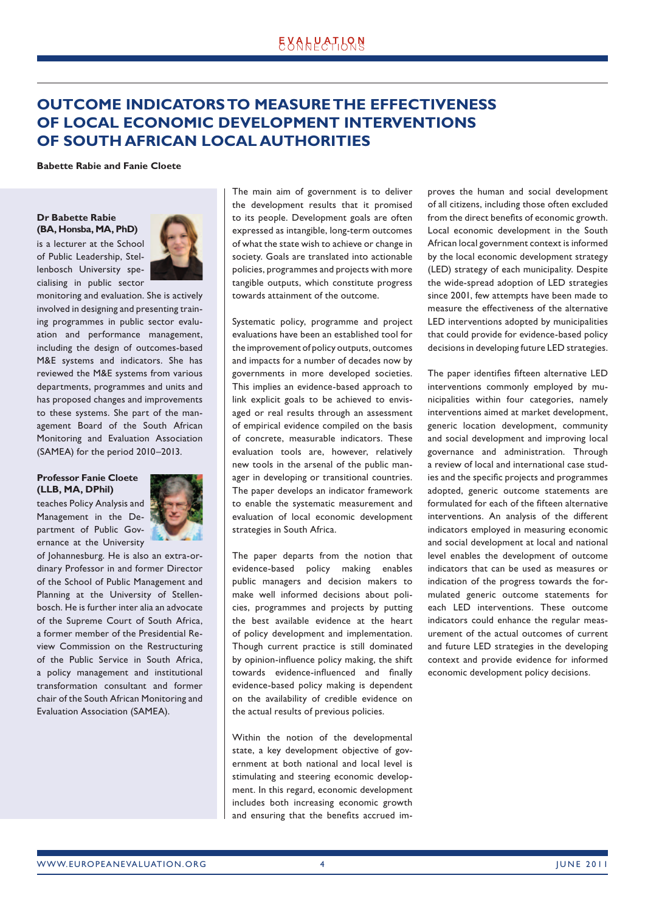## <span id="page-3-0"></span>**Outcome indicators to measure the effectiveness of local economic development interventions of south African local authorities**

**Babette Rabie and Fanie Cloete**

**Dr Babette Rabie (BA, Honsba, MA, PhD)** 

is a lecturer at the School of Public Leadership, Stellenbosch University specialising in public sector



monitoring and evaluation. She is actively involved in designing and presenting training programmes in public sector evaluation and performance management, including the design of outcomes-based M&E systems and indicators. She has reviewed the M&E systems from various departments, programmes and units and has proposed changes and improvements to these systems. She part of the management Board of the South African Monitoring and Evaluation Association (SAMEA) for the period 2010–2013.

### **Professor Fanie Cloete (LLB, MA, DPhil)**

teaches Policy Analysis and Management in the Department of Public Governance at the University



of Johannesburg. He is also an extra-ordinary Professor in and former Director of the School of Public Management and Planning at the University of Stellenbosch. He is further inter alia an advocate of the Supreme Court of South Africa, a former member of the Presidential Review Commission on the Restructuring of the Public Service in South Africa, a policy management and institutional transformation consultant and former chair of the South African Monitoring and Evaluation Association (SAMEA).

The main aim of government is to deliver the development results that it promised to its people. Development goals are often expressed as intangible, long-term outcomes of what the state wish to achieve or change in society. Goals are translated into actionable policies, programmes and projects with more tangible outputs, which constitute progress towards attainment of the outcome.

Systematic policy, programme and project evaluations have been an established tool for the improvement of policy outputs, outcomes and impacts for a number of decades now by governments in more developed societies. This implies an evidence-based approach to link explicit goals to be achieved to envisaged or real results through an assessment of empirical evidence compiled on the basis of concrete, measurable indicators. These evaluation tools are, however, relatively new tools in the arsenal of the public manager in developing or transitional countries. The paper develops an indicator framework to enable the systematic measurement and evaluation of local economic development strategies in South Africa.

The paper departs from the notion that evidence-based policy making enables public managers and decision makers to make well informed decisions about policies, programmes and projects by putting the best available evidence at the heart of policy development and implementation. Though current practice is still dominated by opinion-influence policy making, the shift towards evidence-influenced and finally evidence-based policy making is dependent on the availability of credible evidence on the actual results of previous policies.

Within the notion of the developmental state, a key development objective of government at both national and local level is stimulating and steering economic development. In this regard, economic development includes both increasing economic growth and ensuring that the benefits accrued improves the human and social development of all citizens, including those often excluded from the direct benefits of economic growth. Local economic development in the South African local government context is informed by the local economic development strategy (LED) strategy of each municipality. Despite the wide-spread adoption of LED strategies since 2001, few attempts have been made to measure the effectiveness of the alternative LED interventions adopted by municipalities that could provide for evidence-based policy decisions in developing future LED strategies.

The paper identifies fifteen alternative LED interventions commonly employed by municipalities within four categories, namely interventions aimed at market development, generic location development, community and social development and improving local governance and administration. Through a review of local and international case studies and the specific projects and programmes adopted, generic outcome statements are formulated for each of the fifteen alternative interventions. An analysis of the different indicators employed in measuring economic and social development at local and national level enables the development of outcome indicators that can be used as measures or indication of the progress towards the formulated generic outcome statements for each LED interventions. These outcome indicators could enhance the regular measurement of the actual outcomes of current and future LED strategies in the developing context and provide evidence for informed economic development policy decisions.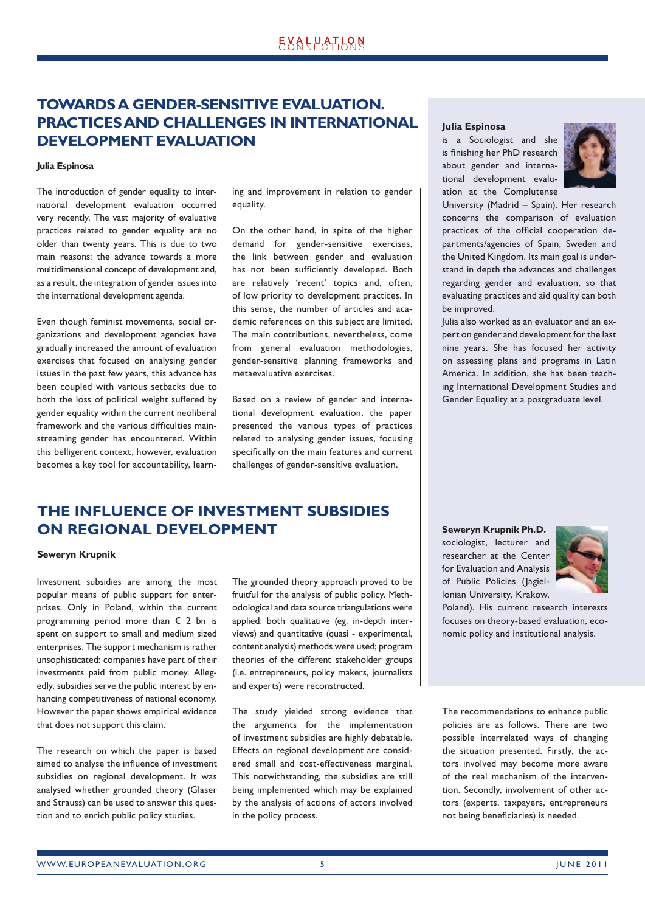## <span id="page-4-0"></span>**Towards a gender-sensitive evaluation. Practices and challenges in international development evaluation**

#### **Julia Espinosa**

The introduction of gender equality to international development evaluation occurred very recently. The vast majority of evaluative practices related to gender equality are no older than twenty years. This is due to two main reasons: the advance towards a more multidimensional concept of development and, as a result, the integration of gender issues into the international development agenda.

Even though feminist movements, social organizations and development agencies have gradually increased the amount of evaluation exercises that focused on analysing gender issues in the past few years, this advance has been coupled with various setbacks due to both the loss of political weight suffered by gender equality within the current neoliberal framework and the various difficulties mainstreaming gender has encountered. Within this belligerent context, however, evaluation becomes a key tool for accountability, learning and improvement in relation to gender equality.

On the other hand, in spite of the higher demand for gender-sensitive exercises, the link between gender and evaluation has not been sufficiently developed. Both are relatively 'recent' topics and, often, of low priority to development practices. In this sense, the number of articles and academic references on this subject are limited. The main contributions, nevertheless, come from general evaluation methodologies, gender-sensitive planning frameworks and metaevaluative exercises.

Based on a review of gender and international development evaluation, the paper presented the various types of practices related to analysing gender issues, focusing specifically on the main features and current challenges of gender-sensitive evaluation.

### **Julia Espinosa**

is a Sociologist and she is finishing her PhD research about gender and international development evaluation at the Complutense



University (Madrid – Spain). Her research concerns the comparison of evaluation practices of the official cooperation departments/agencies of Spain, Sweden and the United Kingdom. Its main goal is understand in depth the advances and challenges regarding gender and evaluation, so that evaluating practices and aid quality can both be improved.

Julia also worked as an evaluator and an expert on gender and development for the last nine years. She has focused her activity on assessing plans and programs in Latin America. In addition, she has been teaching International Development Studies and Gender Equality at a postgraduate level.

## **The influence of investment subsidies on regional development**

### **Seweryn Krupnik**

Investment subsidies are among the most popular means of public support for enterprises. Only in Poland, within the current programming period more than € 2 bn is spent on support to small and medium sized enterprises. The support mechanism is rather unsophisticated: companies have part of their investments paid from public money. Allegedly, subsidies serve the public interest by enhancing competitiveness of national economy. However the paper shows empirical evidence that does not support this claim.

The research on which the paper is based aimed to analyse the influence of investment subsidies on regional development. It was analysed whether grounded theory (Glaser and Strauss) can be used to answer this question and to enrich public policy studies.

The grounded theory approach proved to be fruitful for the analysis of public policy. Methodological and data source triangulations were applied: both qualitative (eg. in-depth interviews) and quantitative (quasi - experimental, content analysis) methods were used; program theories of the different stakeholder groups (i.e. entrepreneurs, policy makers, journalists and experts) were reconstructed.

The study yielded strong evidence that the arguments for the implementation of investment subsidies are highly debatable. Effects on regional development are considered small and cost-effectiveness marginal. This notwithstanding, the subsidies are still being implemented which may be explained by the analysis of actions of actors involved in the policy process.

**Seweryn Krupnik Ph.D.**  sociologist, lecturer and researcher at the Center for Evaluation and Analysis of Public Policies (Jagiellonian University, Krakow,



Poland). His current research interests focuses on theory-based evaluation, economic policy and institutional analysis.

The recommendations to enhance public policies are as follows. There are two possible interrelated ways of changing the situation presented. Firstly, the actors involved may become more aware of the real mechanism of the intervention. Secondly, involvement of other actors (experts, taxpayers, entrepreneurs not being beneficiaries) is needed.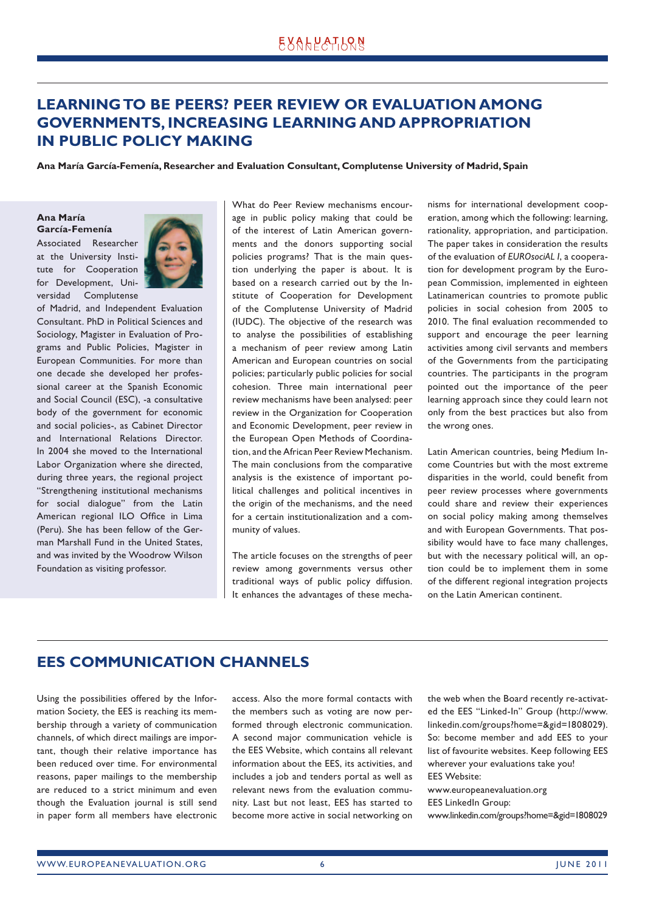## <span id="page-5-0"></span>**Learning to be peers? Peer review or evaluation among governments, increasing learning and appropriation in public policy making**

**Ana María García-Femenía, Researcher and Evaluation Consultant, Complutense University of Madrid, Spain**

**Ana María García-Femenía**

Associated Researcher at the University Institute for Cooperation for Development, Universidad Complutense



of Madrid, and Independent Evaluation Consultant. PhD in Political Sciences and Sociology, Magister in Evaluation of Programs and Public Policies, Magister in European Communities. For more than one decade she developed her professional career at the Spanish Economic and Social Council (ESC), -a consultative body of the government for economic and social policies-, as Cabinet Director and International Relations Director. In 2004 she moved to the International Labor Organization where she directed, during three years, the regional project "Strengthening institutional mechanisms for social dialogue" from the Latin American regional ILO Office in Lima (Peru). She has been fellow of the German Marshall Fund in the United States, and was invited by the Woodrow Wilson Foundation as visiting professor.

What do Peer Review mechanisms encourage in public policy making that could be of the interest of Latin American governments and the donors supporting social policies programs? That is the main question underlying the paper is about. It is based on a research carried out by the Institute of Cooperation for Development of the Complutense University of Madrid (IUDC). The objective of the research was to analyse the possibilities of establishing a mechanism of peer review among Latin American and European countries on social policies; particularly public policies for social cohesion. Three main international peer review mechanisms have been analysed: peer review in the Organization for Cooperation and Economic Development, peer review in the European Open Methods of Coordination, and the African Peer Review Mechanism. The main conclusions from the comparative analysis is the existence of important political challenges and political incentives in the origin of the mechanisms, and the need for a certain institutionalization and a community of values.

The article focuses on the strengths of peer review among governments versus other traditional ways of public policy diffusion. It enhances the advantages of these mechanisms for international development cooperation, among which the following: learning, rationality, appropriation, and participation. The paper takes in consideration the results of the evaluation of *EUROsociAL I*, a cooperation for development program by the European Commission, implemented in eighteen Latinamerican countries to promote public policies in social cohesion from 2005 to 2010. The final evaluation recommended to support and encourage the peer learning activities among civil servants and members of the Governments from the participating countries. The participants in the program pointed out the importance of the peer learning approach since they could learn not only from the best practices but also from the wrong ones.

Latin American countries, being Medium Income Countries but with the most extreme disparities in the world, could benefit from peer review processes where governments could share and review their experiences on social policy making among themselves and with European Governments. That possibility would have to face many challenges, but with the necessary political will, an option could be to implement them in some of the different regional integration projects on the Latin American continent.

## **EES communication channels**

Using the possibilities offered by the Information Society, the EES is reaching its membership through a variety of communication channels, of which direct mailings are important, though their relative importance has been reduced over time. For environmental reasons, paper mailings to the membership are reduced to a strict minimum and even though the Evaluation journal is still send in paper form all members have electronic access. Also the more formal contacts with the members such as voting are now performed through electronic communication. A second major communication vehicle is the EES Website, which contains all relevant information about the EES, its activities, and includes a job and tenders portal as well as relevant news from the evaluation community. Last but not least, EES has started to become more active in social networking on

the web when the Board recently re-activated the EES "Linked-In" Group (http://www. linkedin.com/groups?home=&gid=1808029). So: become member and add EES to your list of favourite websites. Keep following EES wherever your evaluations take you! EES Website:

www.europeanevaluation.org EES LinkedIn Group: www.linkedin.com/groups?home=&gid=1808029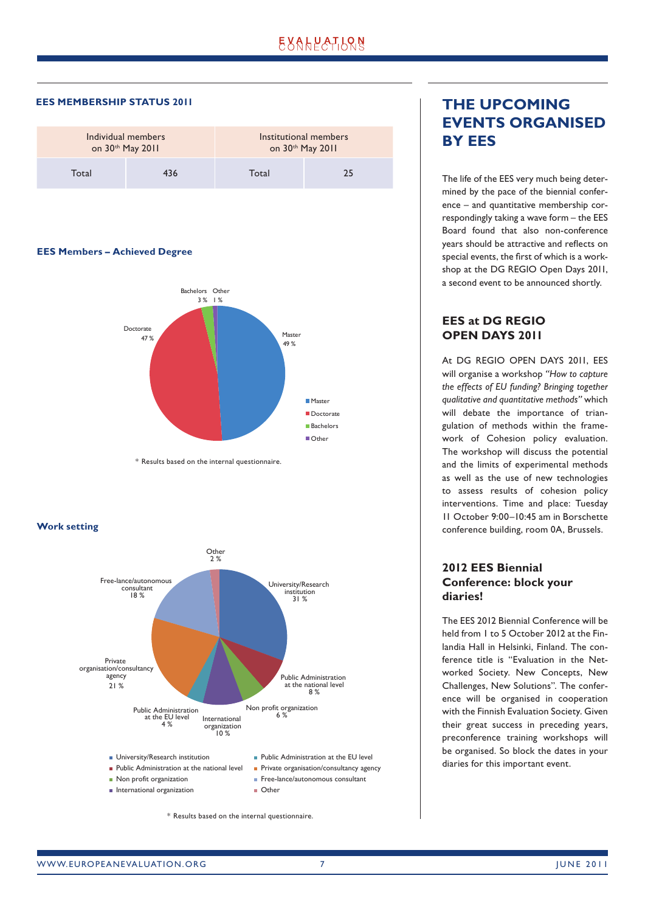<span id="page-6-0"></span>**EES MEMBERSHIP STATUS 2011**

| Individual members |     | Institutional members |    |
|--------------------|-----|-----------------------|----|
| on 30th May 2011   |     | on 30th May 2011      |    |
| Total              | 436 | Total                 | 25 |

#### **EES Members – Achieved Degree**



\* Results based on the internal questionnaire.

**Work setting**



\* Results based on the internal questionnaire.

## **The upcoming events organised by EES**

The life of the EES very much being determined by the pace of the biennial conference – and quantitative membership correspondingly taking a wave form – the EES Board found that also non-conference years should be attractive and reflects on special events, the first of which is a workshop at the DG REGIO Open Days 2011, a second event to be announced shortly.

### **EES at DG REGIO OPEN DAYS 2011**

At DG REGIO OPEN DAYS 2011, EES will organise a workshop *"How to capture the effects of EU funding? Bringing together qualitative and quantitative methods"* which will debate the importance of triangulation of methods within the framework of Cohesion policy evaluation. The workshop will discuss the potential and the limits of experimental methods as well as the use of new technologies to assess results of cohesion policy interventions. Time and place: Tuesday 11 October 9:00–10:45 am in Borschette conference building, room 0A, Brussels.

### **2012 EES Biennial Conference: block your diaries!**

The EES 2012 Biennial Conference will be held from 1 to 5 October 2012 at the Finlandia Hall in Helsinki, Finland. The conference title is "Evaluation in the Networked Society. New Concepts, New Challenges, New Solutions". The conference will be organised in cooperation with the Finnish Evaluation Society. Given their great success in preceding years, preconference training workshops will be organised. So block the dates in your diaries for this important event.